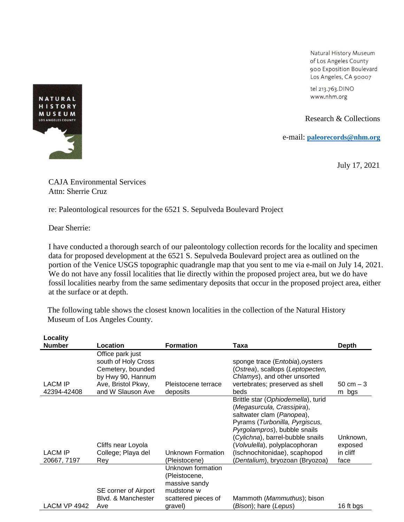Natural History Museum of Los Angeles County 900 Exposition Boulevard Los Angeles, CA 90007

tel 213.763.DINO www.nhm.org

Research & Collections

e-mail: **[paleorecords@nhm.org](mailto:smcleod@nhm.org)**

July 17, 2021

CAJA Environmental Services Attn: Sherrie Cruz

re: Paleontological resources for the 6521 S. Sepulveda Boulevard Project

Dear Sherrie:

I have conducted a thorough search of our paleontology collection records for the locality and specimen data for proposed development at the 6521 S. Sepulveda Boulevard project area as outlined on the portion of the Venice USGS topographic quadrangle map that you sent to me via e-mail on July 14, 2021. We do not have any fossil localities that lie directly within the proposed project area, but we do have fossil localities nearby from the same sedimentary deposits that occur in the proposed project area, either at the surface or at depth.

The following table shows the closest known localities in the collection of the Natural History Museum of Los Angeles County.

| Locality                      |                                                                                                                              |                                                                                                     |                                                                                                                                                                                                                                                                                                        |                                         |
|-------------------------------|------------------------------------------------------------------------------------------------------------------------------|-----------------------------------------------------------------------------------------------------|--------------------------------------------------------------------------------------------------------------------------------------------------------------------------------------------------------------------------------------------------------------------------------------------------------|-----------------------------------------|
| <b>Number</b>                 | Location                                                                                                                     | <b>Formation</b>                                                                                    | Taxa                                                                                                                                                                                                                                                                                                   | <b>Depth</b>                            |
| <b>LACM IP</b><br>42394-42408 | Office park just<br>south of Holy Cross<br>Cemetery, bounded<br>by Hwy 90, Hannum<br>Ave, Bristol Pkwy,<br>and W Slauson Ave | Pleistocene terrace<br>deposits                                                                     | sponge trace (Entobia), oysters<br>(Ostrea), scallops (Leptopecten,<br>Chlamys), and other unsorted<br>vertebrates; preserved as shell<br>beds                                                                                                                                                         | $50 \, \text{cm} - 3$<br>m bgs          |
| <b>LACM IP</b><br>20667, 7197 | Cliffs near Loyola<br>College; Playa del<br>Rey                                                                              | Unknown Formation<br>(Pleistocene)                                                                  | Brittle star (Ophiodemella), turid<br>(Megasurcula, Crassipira),<br>saltwater clam (Panopea),<br>Pyrams (Turbonilla, Pyrgiscus,<br>Pyrgolampros), bubble snails<br>(Cylichna), barrel-bubble snails<br>Volvulella), polyplacophoran<br>(Ischnochitonidae), scaphopod<br>Dentalium), bryozoan (Bryozoa) | Unknown,<br>exposed<br>in cliff<br>face |
| <b>LACM VP 4942</b>           | SE corner of Airport<br>Blvd. & Manchester<br>Ave                                                                            | Unknown formation<br>(Pleistocene,<br>massive sandy<br>mudstone w<br>scattered pieces of<br>gravel) | Mammoth (Mammuthus); bison<br>(Bison); hare (Lepus)                                                                                                                                                                                                                                                    | 16 ft bgs                               |